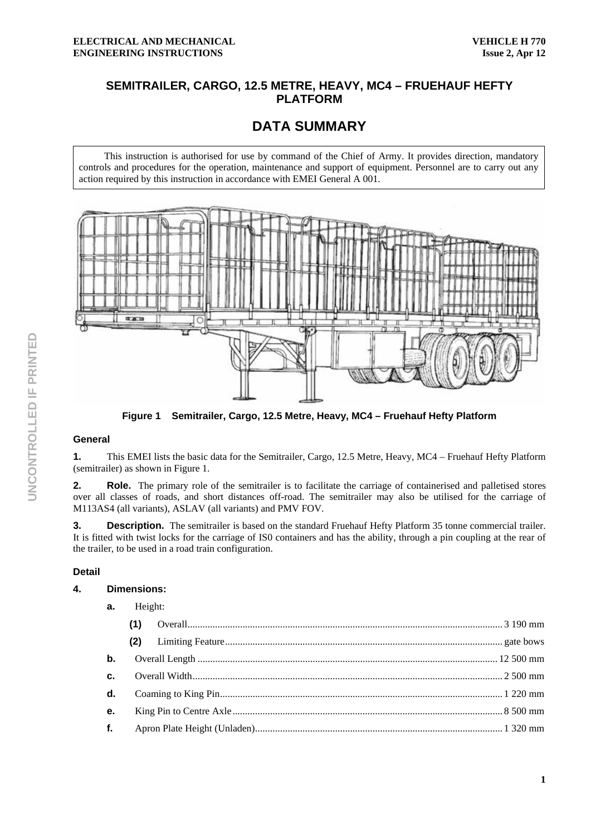# **SEMITRAILER, CARGO, 12.5 METRE, HEAVY, MC4 – FRUEHAUF HEFTY PLATFORM**

# **DATA SUMMARY**

This instruction is authorised for use by command of the Chief of Army. It provides direction, mandatory controls and procedures for the operation, maintenance and support of equipment. Personnel are to carry out any action required by this instruction in accordance with EMEI General A 001.



**Figure 1 Semitrailer, Cargo, 12.5 Metre, Heavy, MC4 – Fruehauf Hefty Platform** 

### **General**

**1.** This EMEI lists the basic data for the Semitrailer, Cargo, 12.5 Metre, Heavy, MC4 – Fruehauf Hefty Platform (semitrailer) as shown in Figure 1.

**2.** Role. The primary role of the semitrailer is to facilitate the carriage of containerised and palletised stores over all classes of roads, and short distances off-road. The semitrailer may also be utilised for the carriage of M113AS4 (all variants), ASLAV (all variants) and PMV FOV.

**3. Description.** The semitrailer is based on the standard Fruehauf Hefty Platform 35 tonne commercial trailer. It is fitted with twist locks for the carriage of IS0 containers and has the ability, through a pin coupling at the rear of the trailer, to be used in a road train configuration.

#### **Detail**

#### **4. Dimensions:**

| Height: |  |
|---------|--|
|---------|--|

|               | (1)<br>(2) |  |
|---------------|------------|--|
| $\mathbf b$ . |            |  |
|               |            |  |
|               |            |  |
| $e_{i}$       |            |  |
|               |            |  |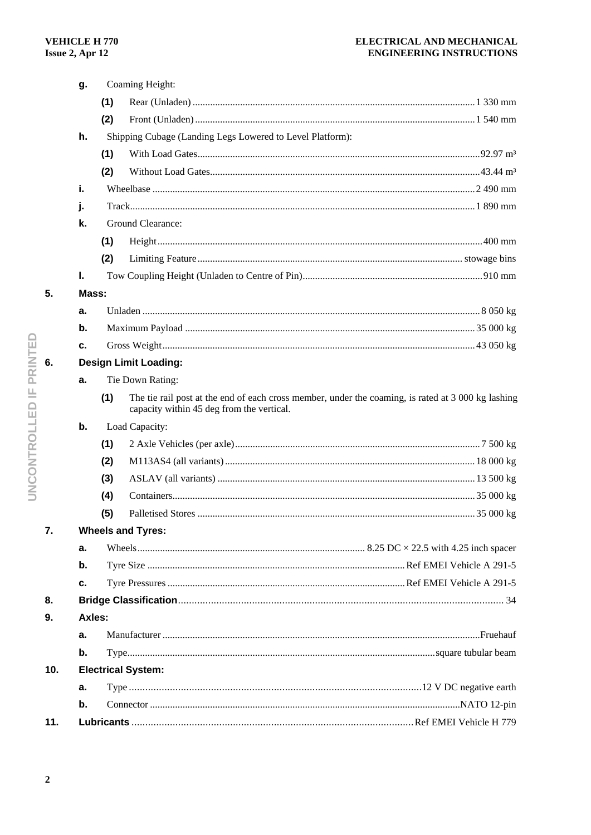## ELECTRICAL AND MECHANICAL **ENGINEERING INSTRUCTIONS**

|     | g.            |                              | Coaming Height:                                                                                                                                 |  |  |  |
|-----|---------------|------------------------------|-------------------------------------------------------------------------------------------------------------------------------------------------|--|--|--|
|     |               | (1)                          |                                                                                                                                                 |  |  |  |
|     |               | (2)                          |                                                                                                                                                 |  |  |  |
|     | h.            |                              | Shipping Cubage (Landing Legs Lowered to Level Platform):                                                                                       |  |  |  |
|     |               | (1)                          |                                                                                                                                                 |  |  |  |
|     |               | (2)                          |                                                                                                                                                 |  |  |  |
|     | i.            |                              |                                                                                                                                                 |  |  |  |
|     | j.            |                              |                                                                                                                                                 |  |  |  |
|     | k.            |                              | Ground Clearance:                                                                                                                               |  |  |  |
|     |               | (1)                          |                                                                                                                                                 |  |  |  |
|     |               | (2)                          |                                                                                                                                                 |  |  |  |
|     | Ι.            |                              |                                                                                                                                                 |  |  |  |
| 5.  |               | Mass:                        |                                                                                                                                                 |  |  |  |
|     | a.            |                              |                                                                                                                                                 |  |  |  |
|     | b.            |                              |                                                                                                                                                 |  |  |  |
|     | с.            |                              |                                                                                                                                                 |  |  |  |
| 6.  |               | <b>Design Limit Loading:</b> |                                                                                                                                                 |  |  |  |
|     | a.            |                              | Tie Down Rating:                                                                                                                                |  |  |  |
|     |               | (1)                          | The tie rail post at the end of each cross member, under the coaming, is rated at 3 000 kg lashing<br>capacity within 45 deg from the vertical. |  |  |  |
|     | b.            |                              | Load Capacity:                                                                                                                                  |  |  |  |
|     |               | (1)                          |                                                                                                                                                 |  |  |  |
|     |               | (2)                          |                                                                                                                                                 |  |  |  |
|     |               | (3)                          |                                                                                                                                                 |  |  |  |
|     |               | (4)                          |                                                                                                                                                 |  |  |  |
|     |               | (5)                          |                                                                                                                                                 |  |  |  |
| 7.  |               |                              | <b>Wheels and Tyres:</b>                                                                                                                        |  |  |  |
|     | a.            |                              |                                                                                                                                                 |  |  |  |
|     | b.            |                              |                                                                                                                                                 |  |  |  |
|     | с.            |                              |                                                                                                                                                 |  |  |  |
| 8.  |               |                              |                                                                                                                                                 |  |  |  |
| 9.  |               | <b>Axles:</b>                |                                                                                                                                                 |  |  |  |
|     | а.            |                              |                                                                                                                                                 |  |  |  |
|     | b.            |                              |                                                                                                                                                 |  |  |  |
| 10. |               |                              | <b>Electrical System:</b>                                                                                                                       |  |  |  |
|     | а.            |                              |                                                                                                                                                 |  |  |  |
|     | $\mathbf b$ . |                              |                                                                                                                                                 |  |  |  |
| 11. |               |                              |                                                                                                                                                 |  |  |  |